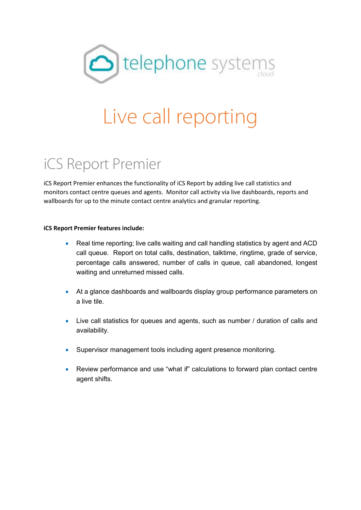

# Live call reporting

## iCS Report Premier

iCS Report Premier enhances the functionality of iCS Report by adding live call statistics and monitors contact centre queues and agents. Monitor call activity via live dashboards, reports and wallboards for up to the minute contact centre analytics and granular reporting.

#### **iCS Report Premier features include:**

- Real time reporting; live calls waiting and call handling statistics by agent and ACD call queue. Report on total calls, destination, talktime, ringtime, grade of service, percentage calls answered, number of calls in queue, call abandoned, longest waiting and unreturned missed calls.
- At a glance dashboards and wallboards display group performance parameters on a live tile.
- Live call statistics for queues and agents, such as number / duration of calls and availability.
- Supervisor management tools including agent presence monitoring.
- Review performance and use "what if" calculations to forward plan contact centre agent shifts.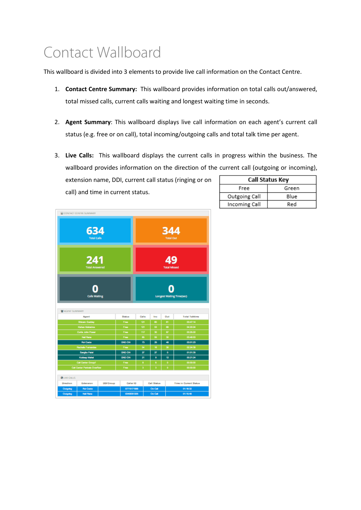## Contact Wallboard

This wallboard is divided into 3 elements to provide live call information on the Contact Centre.

- 1. **Contact Centre Summary:** This wallboard provides information on total calls out/answered, total missed calls, current calls waiting and longest waiting time in seconds.
- 2. **Agent Summary**: This wallboard displays live call information on each agent's current call status (e.g. free or on call), total incoming/outgoing calls and total talk time per agent.
- 3. **Live Calls:** This wallboard displays the current calls in progress within the business. The wallboard provides information on the direction of the current call (outgoing or incoming),

extension name, DDI, current call status (ringing or on call) and time in current status.

|               | <b>Call Status Key</b> |
|---------------|------------------------|
| Free          | Green                  |
| Outgoing Call | Blue                   |
| Incoming Call | Red                    |

|                       | CONTACT CENTRE SUMMARY                           |                  |                |       |          |                    |                           |                                  |
|-----------------------|--------------------------------------------------|------------------|----------------|-------|----------|--------------------|---------------------------|----------------------------------|
|                       | 634<br><b>Total Calls</b>                        |                  |                |       |          |                    | 344<br><b>Total Out</b>   |                                  |
|                       | 241<br><b>Total Answered</b>                     |                  |                |       |          |                    | 49<br><b>Total Missed</b> |                                  |
|                       | <b>Calls Waiting</b>                             |                  |                |       |          |                    |                           | <b>Longest Waiting Time(sec)</b> |
| <b>MAGENT SUMMARY</b> |                                                  |                  |                |       |          |                    |                           |                                  |
|                       | Agent                                            |                  | <b>Status</b>  | Calls |          | Inc                | Out                       | <b>Total Talktime</b>            |
|                       | <b>Shivam Gadday</b>                             |                  | Free           | 121   |          | eo.                | 61                        | 03:47:14                         |
|                       | Kishan Mahatma                                   |                  | Free           | 121   |          | 53                 | $\bullet$                 | 04:20:24                         |
|                       | Curtis John Power                                |                  | Free           | 117   |          | 30                 | 87                        | 032522                           |
|                       | <b>Neil Florid</b>                               |                  | Free           |       | 85       | 56                 | 30                        | 03:48:53                         |
|                       | <b>Rui Costa</b>                                 |                  | DND ON         |       | 73<br>54 | 25<br>18           | 48<br>38                  | 03:01:23<br>02:24:39             |
|                       | <b>Rachala Ferrandes</b><br><b>Sanglia Patel</b> |                  | Free<br>DND ON |       | 27       | 27                 | o                         | 01:01:35                         |
|                       | Kukkeep Mahal                                    |                  | DND ON         | 21    |          | 9                  | 12                        | 00:21:24                         |
|                       | Call Carter Group!                               |                  | Free           | B     |          | 8                  | ۰                         | 00:00:00                         |
|                       | <b>Call Cantar Perivale Overflow</b>             |                  | Free           | a     |          | ă                  | ö                         | 00:00:00                         |
| <b>CHLIVE CALLS</b>   |                                                  |                  |                |       |          |                    |                           |                                  |
| Direction             | Extension                                        | <b>DDI/Group</b> | Caller ID      |       |          | <b>Call Status</b> |                           | <b>Time in Current Status</b>    |
| Outpoing              | <b>Rui Costa</b>                                 |                  | 07715171988    |       |          | On Call            |                           | 01:18:32                         |
| Outpoing              | Neil Floros                                      |                  | 03458351205    |       |          | On Call            |                           | 01:15:48                         |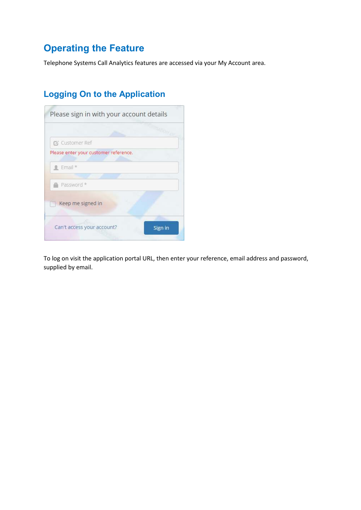## **Operating the Feature**

Telephone Systems Call Analytics features are accessed via your My Account area.

## **Logging On to the Application**

| <b>Z</b> Customer Ref                 |         |
|---------------------------------------|---------|
| Please enter your customer reference. |         |
| $e$ Email $*$                         |         |
|                                       |         |
| Password *                            |         |
| Keep me signed in<br>w                |         |
| Can't access your account?            | Sign in |

To log on visit the application portal URL, then enter your reference, email address and password, supplied by email.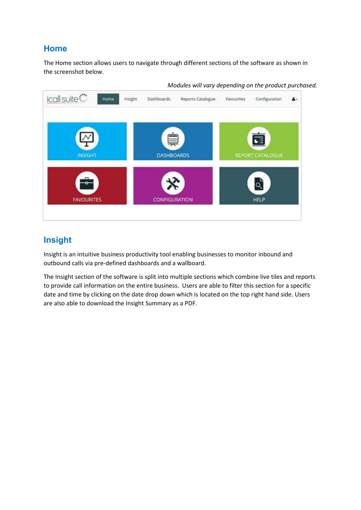### **Home**

The Home section allows users to navigate through different sections of the software as shown in the screenshot below.



#### *Modules will vary depending on the product purchased.*

## **Insight**

Insight is an intuitive business productivity tool enabling businesses to monitor inbound and outbound calls via pre-defined dashboards and a wallboard.

The Insight section of the software is split into multiple sections which combine live tiles and reports to provide call information on the entire business. Users are able to filter this section for a specific date and time by clicking on the date drop down which is located on the top right hand side. Users are also able to download the Insight Summary as a PDF.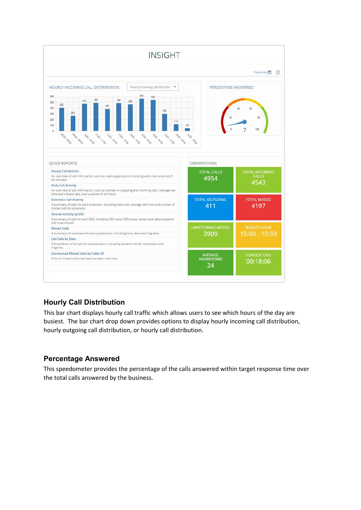

#### **Hourly Call Distribution**

This bar chart displays hourly call traffic which allows users to see which hours of the day are busiest. The bar chart drop down provides options to display hourly incoming call distribution, hourly outgoing call distribution, or hourly call distribution.

#### **Percentage Answered**

This speedometer provides the percentage of the calls answered within target response time over the total calls answered by the business.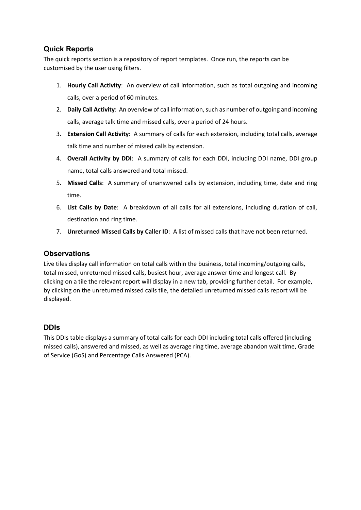#### **Quick Reports**

The quick reports section is a repository of report templates. Once run, the reports can be customised by the user using filters.

- 1. **Hourly Call Activity**: An overview of call information, such as total outgoing and incoming calls, over a period of 60 minutes.
- 2. **Daily Call Activity**: An overview of call information, such as number of outgoing and incoming calls, average talk time and missed calls, over a period of 24 hours.
- 3. **Extension Call Activity**: A summary of calls for each extension, including total calls, average talk time and number of missed calls by extension.
- 4. **Overall Activity by DDI**: A summary of calls for each DDI, including DDI name, DDI group name, total calls answered and total missed.
- 5. **Missed Calls**: A summary of unanswered calls by extension, including time, date and ring time.
- 6. **List Calls by Date**: A breakdown of all calls for all extensions, including duration of call, destination and ring time.
- 7. **Unreturned Missed Calls by Caller ID**: A list of missed calls that have not been returned.

#### **Observations**

Live tiles display call information on total calls within the business, total incoming/outgoing calls, total missed, unreturned missed calls, busiest hour, average answer time and longest call. By clicking on a tile the relevant report will display in a new tab, providing further detail. For example, by clicking on the unreturned missed calls tile, the detailed unreturned missed calls report will be displayed.

#### **DDIs**

This DDIs table displays a summary of total calls for each DDI including total calls offered (including missed calls), answered and missed, as well as average ring time, average abandon wait time, Grade of Service (GoS) and Percentage Calls Answered (PCA).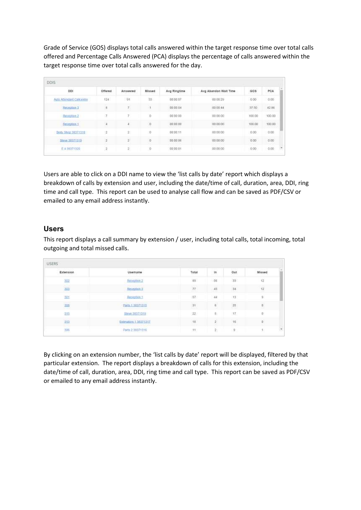Grade of Service (GOS) displays total calls answered within the target response time over total calls offered and Percentage Calls Answered (PCA) displays the percentage of calls answered within the target response time over total calls answered for the day.

| <b>DDI</b>                               | Offered        | Answered | Missed  | Avg Ringtime                        | Avg Abandon Wait Time             | GOS<br>800 M              | PCA              |
|------------------------------------------|----------------|----------|---------|-------------------------------------|-----------------------------------|---------------------------|------------------|
| Auto Attendant Calicentre                | 124            | 181      | 38      | 00:00:07                            | 00.00.29                          | 0.00                      | 0.00             |
| <b>Reception 3</b><br><b>Horseholder</b> | $\rm B$        | $\tau$ . |         | 12322340<br>00:00:04                | 000044                            | 334,540<br>37.50          | 42.86            |
| Reception.2                              | $\mathcal I$   | ÷        | Ŭ       | 00:00:00                            | 000000                            | 100.00                    | 100.00           |
| Herepton <sub>.1</sub><br>infilm mit H   | $\ddot{a}$     | 4        | o       | <b>COMMONS</b><br>00:00:00<br>----- | <b>SUSSING COUNTY</b><br>00 00 00 | 100.00<br>---             | 100.00<br>nessen |
| Body Shop 38371318                       | $\cdot$        | z.       | 0       | 00:00:11                            | 000000                            | 0.00                      | 0.00             |
| Steve 38373319                           | $\overline{2}$ | ŷ.       | $\circ$ | 00:00:06                            | Links of the New York<br>00 00 00 | <b>CONTRACTOR</b><br>0.00 | 0.00             |
| € 4 38371320                             | ×,<br>×        | Ž        | 0       | 00:00:01                            | 00:00:00                          | 0.00                      | 0.00             |

Users are able to click on a DDI name to view the 'list calls by date' report which displays a breakdown of calls by extension and user, including the date/time of call, duration, area, DDI, ring time and call type. This report can be used to analyse call flow and can be saved as PDF/CSV or emailed to any email address instantly.

#### **Users**

This report displays a call summary by extension / user, including total calls, total incoming, total outgoing and total missed calls.

| <b>USERS</b> |                                                                              |                        |                |           |                    |  |
|--------------|------------------------------------------------------------------------------|------------------------|----------------|-----------|--------------------|--|
| Extension    | Usemame                                                                      | Total                  | in.<br>11 1.XX | Out<br>-- | Missed             |  |
| 302          | Reception 2                                                                  | $69 -$                 | - 58           | 33        | $\scriptstyle{12}$ |  |
| 303          | Reception 3                                                                  | $\boldsymbol{H}$       | $\sqrt{43}$    | 34        | $\overline{12}$    |  |
| 301          | Reception 1                                                                  | 57.                    | 44             | $-13$     | O.                 |  |
| 308          | <b>CONTRACTOR</b> CONTRACTOR<br>Parts 1 38371315                             | $\mathbb{H}^{\dagger}$ | $\mathfrak{h}$ | $2\pi$    | $\mathfrak n$      |  |
| 315          | Steve 38371319                                                               | 22                     | 5 <sup>2</sup> | $17-$     | $0^\circ$          |  |
| ata          | <b>CONTRACTOR</b> CONTRACTOR<br>Estimators 1 35371317<br>mention and a state | tu                     | $\overline{2}$ | 16        | u                  |  |
| 308          | Parts 2 38371316                                                             | $\,11$                 | 2:<br>$\sim$   | $\theta$  |                    |  |

By clicking on an extension number, the 'list calls by date' report will be displayed, filtered by that particular extension. The report displays a breakdown of calls for this extension, including the date/time of call, duration, area, DDI, ring time and call type. This report can be saved as PDF/CSV or emailed to any email address instantly.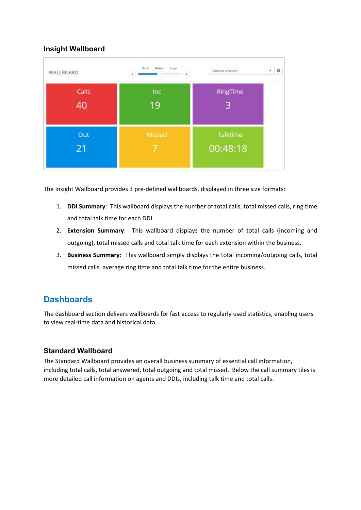#### **Insight Wallboard**



The Insight Wallboard provides 3 pre-defined wallboards, displayed in three size formats:

- 1. **DDI Summary**: This wallboard displays the number of total calls, total missed calls, ring time and total talk time for each DDI.
- 2. **Extension Summary**: This wallboard displays the number of total calls (incoming and outgoing), total missed calls and total talk time for each extension within the business.
- 3. **Business Summary**: This wallboard simply displays the total incoming/outgoing calls, total missed calls, average ring time and total talk time for the entire business.

## **Dashboards**

The dashboard section delivers wallboards for fast access to regularly used statistics, enabling users to view real-time data and historical data.

#### **Standard Wallboard**

The Standard Wallboard provides an overall business summary of essential call information, including total calls, total answered, total outgoing and total missed. Below the call summary tiles is more detailed call information on agents and DDIs, including talk time and total calls.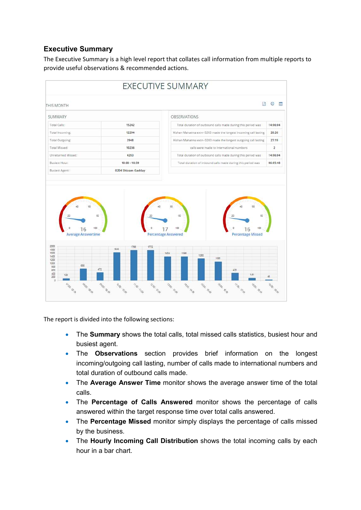#### **Executive Summary**

The Executive Summary is a high level report that collates call information from multiple reports to provide useful observations & recommended actions.



The report is divided into the following sections:

- The **Summary** shows the total calls, total missed calls statistics, busiest hour and busiest agent.
- The **Observations** section provides brief information on the longest incoming/outgoing call lasting, number of calls made to international numbers and total duration of outbound calls made.
- The **Average Answer Time** monitor shows the average answer time of the total calls.
- The **Percentage of Calls Answered** monitor shows the percentage of calls answered within the target response time over total calls answered.
- The **Percentage Missed** monitor simply displays the percentage of calls missed by the business.
- The **Hourly Incoming Call Distribution** shows the total incoming calls by each hour in a bar chart.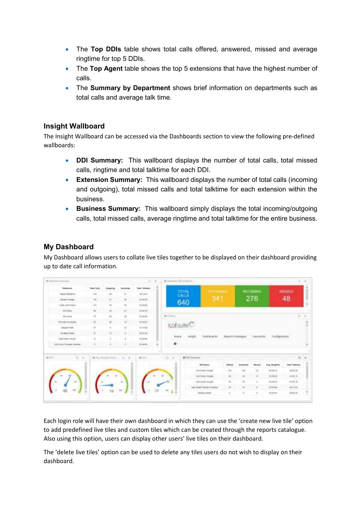- The **Top DDIs** table shows total calls offered, answered, missed and average ringtime for top 5 DDIs.
- The **Top Agent** table shows the top 5 extensions that have the highest number of calls.
- The **Summary by Department** shows brief information on departments such as total calls and average talk time.

#### **Insight Wallboard**

The Insight Wallboard can be accessed via the Dashboards section to view the following pre-defined wallboards:

- **DDI Summary:** This wallboard displays the number of total calls, total missed calls, ringtime and total talktime for each DDI.
- **Extension Summary:** This wallboard displays the number of total calls (incoming and outgoing), total missed calls and total talktime for each extension within the business.
- **Business Summary:** This wallboard simply displays the total incoming/outgoing calls, total missed calls, average ringtime and total talktime for the entire business.

#### **My Dashboard**

My Dashboard allows users to collate live tiles together to be displayed on their dashboard providing up to date call information.

| M. League Durante                       |                   |                            |                                      |                 | <b>ELOK</b> | 10 column lot available. |                             |                   |                                      |                 |                                |                                     |  |
|-----------------------------------------|-------------------|----------------------------|--------------------------------------|-----------------|-------------|--------------------------|-----------------------------|-------------------|--------------------------------------|-----------------|--------------------------------|-------------------------------------|--|
| <b>Experience</b>                       | <b>Tele Levis</b> | Jurgens                    | <b>Britaining</b>                    | Total Totalers  |             |                          | <b>SUPERING</b>             |                   |                                      | <b>INCOMING</b> |                                |                                     |  |
| <b>Harlan Address</b>                   | $\mathbb{Z}$      |                            | ×                                    | <b>SITTER</b>   |             | <b>TOTAL</b>             |                             |                   |                                      |                 |                                | WISSED                              |  |
| <b>Bowland</b><br><b>COLORED AND IN</b> | $\rightarrow$     | ÷                          | a.                                   | Animals         |             | 640                      | 341                         |                   |                                      | 276             |                                | 48                                  |  |
| <b>Long-premiers</b>                    | m                 | ti.                        | $\mathbf{m}$                         | TE2941          |             |                          |                             |                   |                                      |                 |                                |                                     |  |
| <b>Amirlians</b>                        | $\overline{a}$    | ü                          | $\sim$                               | <b>IGACIO</b>   |             |                          |                             |                   |                                      |                 |                                |                                     |  |
| <b>Backway</b>                          | $\mathbb{R}^n$    | $\mathbb{R}$               | $\left\vert \mathbf{q}\right\rangle$ | <b>JO MVH</b>   |             | and in division of       |                             |                   |                                      |                 |                                |                                     |  |
| <b>Railricki</b> Provincial             | $\rightarrow$     | ü                          | H.                                   | 121991          |             |                          |                             |                   |                                      |                 |                                |                                     |  |
| <b>Barack Park</b>                      | $\overline{ }$    | ٠                          | 11                                   | $49.4148$ .     |             | Collsule                 |                             |                   |                                      |                 |                                |                                     |  |
| <b>Bolley Links</b>                     | $\frac{1}{2}$     | ٠                          | ۰                                    | $n + n$         |             |                          |                             |                   |                                      |                 |                                |                                     |  |
| <b>URCOMPRISE</b>                       |                   | ٠                          |                                      | 14 Milled       |             | might<br>Holme           | <b>TRANSVALLE</b>           | Printer Catalogue | TATA 의 XXXX 등 1/ / 2 : 2 : 2 : 4 : 1 | Charles Bars    | curtes sten<br><b>19600000</b> |                                     |  |
| Las labor Fenate Devices                |                   | ÷                          |                                      | as since        |             | A.                       |                             |                   |                                      |                 |                                |                                     |  |
| 注目所<br>25411                            |                   | 12 Aug. Rington Ave., 1987 | $\sim$                               | $m \geqslant n$ |             | 1000<br>H.<br>٠          |                             |                   |                                      |                 |                                | 四 (W)                               |  |
|                                         |                   |                            |                                      |                 |             |                          | <b>Birthown</b>             | <b>Different</b>  | 71944140                             |                 | <b>Site Registed</b>           | <b>Tract Tolkstop</b><br>ve matrice |  |
|                                         |                   |                            |                                      |                 |             |                          | CarDener Hough              | 111               |                                      | $\mathbb{R}$    | 39 98 18                       | <b>HELE</b>                         |  |
|                                         |                   |                            |                                      |                 |             |                          | Contractor Constal          | $\frac{1}{2}$     |                                      | $\equiv$        | make                           | 19.95 10<br>an an                   |  |
| ×                                       |                   |                            |                                      |                 |             |                          | Corporate stought           | ×                 | ti                                   |                 | <b>HERES</b>                   | 进时支                                 |  |
|                                         |                   |                            |                                      |                 |             |                          | Lan Linder Petruket Linedas | ÷                 |                                      |                 | dicatal.                       | ave.                                |  |
|                                         |                   |                            |                                      |                 |             | Ad                       | matrial ANAID               | $\blacksquare$    |                                      |                 | <b>PERMIT</b>                  | <b>MITT IS</b>                      |  |
|                                         |                   |                            |                                      |                 |             |                          |                             |                   |                                      |                 |                                |                                     |  |

Each login role will have their own dashboard in which they can use the 'create new live tile' option to add predefined live tiles and custom tiles which can be created through the reports catalogue. Also using this option, users can display other users' live tiles on their dashboard.

The 'delete live tiles' option can be used to delete any tiles users do not wish to display on their dashboard.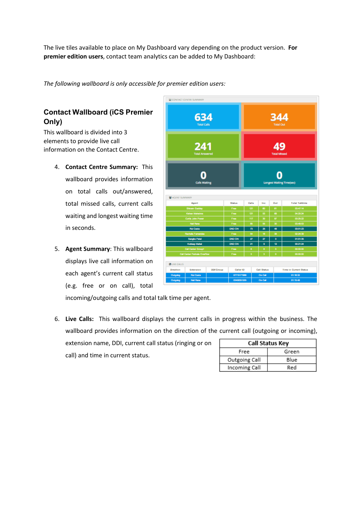The live tiles available to place on My Dashboard vary depending on the product version. **For premier edition users**, contact team analytics can be added to My Dashboard:

*The following wallboard is only accessible for premier edition users:* 

### **Contact Wallboard (iCS Premier Only)**

This wallboard is divided into 3 elements to provide live call information on the Contact Centre.

- 4. **Contact Centre Summary:** This wallboard provides information on total calls out/answered, total missed calls, current calls waiting and longest waiting time in seconds.
- 5. **Agent Summary**: This wallboard displays live call information on each agent's current call status (e.g. free or on call), total

| CONTACT CENTRE SUMMARY |                                     |                  |                            |          |                    |         |                           |                                  |
|------------------------|-------------------------------------|------------------|----------------------------|----------|--------------------|---------|---------------------------|----------------------------------|
|                        | 634<br><b>Total Calls</b>           |                  |                            |          |                    | 344     | <b>Total Out</b>          |                                  |
|                        | 241<br><b>Total Answered</b>        |                  |                            |          |                    |         | 49<br><b>Total Missed</b> |                                  |
|                        | <b>Calls Waiting</b>                |                  |                            |          |                    |         |                           | <b>Longest Waiting Time(sec)</b> |
| M AGENT SUMMARY        |                                     |                  |                            |          |                    |         |                           |                                  |
|                        |                                     |                  |                            |          |                    |         |                           |                                  |
|                        | Agent                               |                  | <b>Status</b>              | Calla    | Inc                | Out     |                           | <b>Total Talktime</b>            |
|                        | <b>Shivam Gadday</b>                |                  | Free                       | 121      | $\bullet$          | 61      |                           | 03:47:14                         |
|                        | Kishan Mahatma                      |                  | Free                       | 121      | 53                 | œ       |                           | 04:20:24                         |
|                        | <b>Curtis John Power</b>            |                  | Free                       | 117      | 30                 | 87      |                           | 032522                           |
|                        | <b>Nell Roma</b>                    |                  | Free                       | 肟        | 56                 | 30      |                           | 03:48:53                         |
|                        | <b>Rui Costa</b>                    |                  | DND ON                     | 73       | 25                 | 48      |                           | 03:01:23                         |
|                        | <b>Rachala Fernandes</b>            |                  | Free                       | 54       | 16                 | 38      |                           | 02:24:39                         |
|                        | <b>Sanglia Patel</b>                |                  | DND ON<br>DND ON           | 27<br>21 | 27<br>ø            | o<br>12 |                           | 01:01:35<br>00:21:24             |
|                        | Kuldasp Mahal<br>Call Center Groupt |                  | Free                       | B        | 8                  | o       |                           | 00:00:00                         |
|                        | Call Carder Perivale Overflow       |                  | Free                       | s        | s                  | ö       |                           | <u>mmm</u>                       |
| <b>CHLIVE CALLS</b>    |                                     |                  |                            |          |                    |         |                           |                                  |
| Direction              | Extension                           | <b>DDI/Group</b> | Caller ID                  |          | Call Status        |         |                           | <b>Time in Current Status</b>    |
| Outpoing<br>Outpoing   | <b>Rui Costa</b><br>Neil Floras     |                  | 07715171988<br>03458351205 |          | On Call<br>On Call |         |                           | 01:18:32<br>01:15:48             |

incoming/outgoing calls and total talk time per agent.

6. **Live Calls:** This wallboard displays the current calls in progress within the business. The wallboard provides information on the direction of the current call (outgoing or incoming), extension name, DDI, current call status (ringing or on call) and time in current status.

|               | Call Status Key |
|---------------|-----------------|
| Free          | Green           |
| Outgoing Call | Blue            |
| Incoming Call | Red             |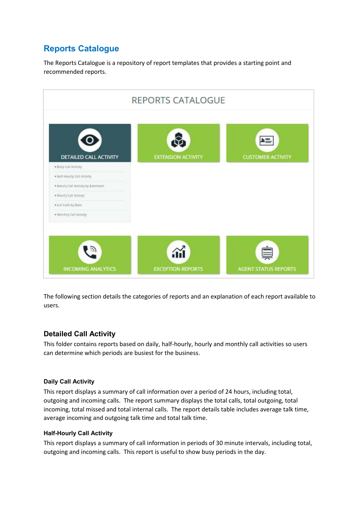## **Reports Catalogue**

The Reports Catalogue is a repository of report templates that provides a starting point and recommended reports.



The following section details the categories of reports and an explanation of each report available to users.

#### **Detailed Call Activity**

This folder contains reports based on daily, half-hourly, hourly and monthly call activities so users can determine which periods are busiest for the business.

#### **Daily Call Activity**

This report displays a summary of call information over a period of 24 hours, including total, outgoing and incoming calls. The report summary displays the total calls, total outgoing, total incoming, total missed and total internal calls. The report details table includes average talk time, average incoming and outgoing talk time and total talk time.

#### **Half-Hourly Call Activity**

This report displays a summary of call information in periods of 30 minute intervals, including total, outgoing and incoming calls. This report is useful to show busy periods in the day.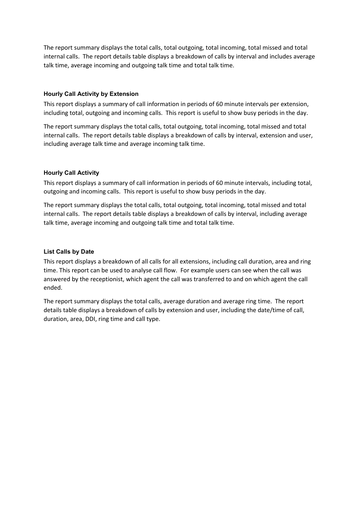The report summary displays the total calls, total outgoing, total incoming, total missed and total internal calls. The report details table displays a breakdown of calls by interval and includes average talk time, average incoming and outgoing talk time and total talk time.

#### **Hourly Call Activity by Extension**

This report displays a summary of call information in periods of 60 minute intervals per extension, including total, outgoing and incoming calls. This report is useful to show busy periods in the day.

The report summary displays the total calls, total outgoing, total incoming, total missed and total internal calls. The report details table displays a breakdown of calls by interval, extension and user, including average talk time and average incoming talk time.

#### **Hourly Call Activity**

This report displays a summary of call information in periods of 60 minute intervals, including total, outgoing and incoming calls. This report is useful to show busy periods in the day.

The report summary displays the total calls, total outgoing, total incoming, total missed and total internal calls. The report details table displays a breakdown of calls by interval, including average talk time, average incoming and outgoing talk time and total talk time.

#### **List Calls by Date**

This report displays a breakdown of all calls for all extensions, including call duration, area and ring time. This report can be used to analyse call flow. For example users can see when the call was answered by the receptionist, which agent the call was transferred to and on which agent the call ended.

The report summary displays the total calls, average duration and average ring time. The report details table displays a breakdown of calls by extension and user, including the date/time of call, duration, area, DDI, ring time and call type.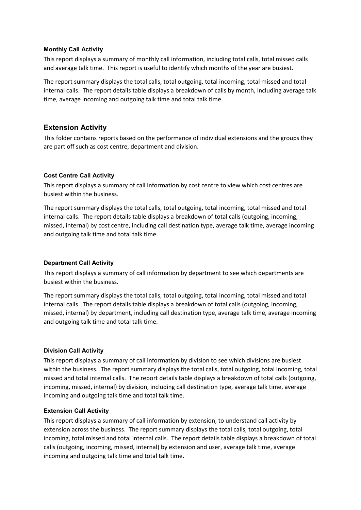#### **Monthly Call Activity**

This report displays a summary of monthly call information, including total calls, total missed calls and average talk time. This report is useful to identify which months of the year are busiest.

The report summary displays the total calls, total outgoing, total incoming, total missed and total internal calls. The report details table displays a breakdown of calls by month, including average talk time, average incoming and outgoing talk time and total talk time.

#### **Extension Activity**

This folder contains reports based on the performance of individual extensions and the groups they are part off such as cost centre, department and division.

#### **Cost Centre Call Activity**

This report displays a summary of call information by cost centre to view which cost centres are busiest within the business.

The report summary displays the total calls, total outgoing, total incoming, total missed and total internal calls. The report details table displays a breakdown of total calls (outgoing, incoming, missed, internal) by cost centre, including call destination type, average talk time, average incoming and outgoing talk time and total talk time.

#### **Department Call Activity**

This report displays a summary of call information by department to see which departments are busiest within the business.

The report summary displays the total calls, total outgoing, total incoming, total missed and total internal calls. The report details table displays a breakdown of total calls (outgoing, incoming, missed, internal) by department, including call destination type, average talk time, average incoming and outgoing talk time and total talk time.

#### **Division Call Activity**

This report displays a summary of call information by division to see which divisions are busiest within the business. The report summary displays the total calls, total outgoing, total incoming, total missed and total internal calls. The report details table displays a breakdown of total calls (outgoing, incoming, missed, internal) by division, including call destination type, average talk time, average incoming and outgoing talk time and total talk time.

#### **Extension Call Activity**

This report displays a summary of call information by extension, to understand call activity by extension across the business. The report summary displays the total calls, total outgoing, total incoming, total missed and total internal calls. The report details table displays a breakdown of total calls (outgoing, incoming, missed, internal) by extension and user, average talk time, average incoming and outgoing talk time and total talk time.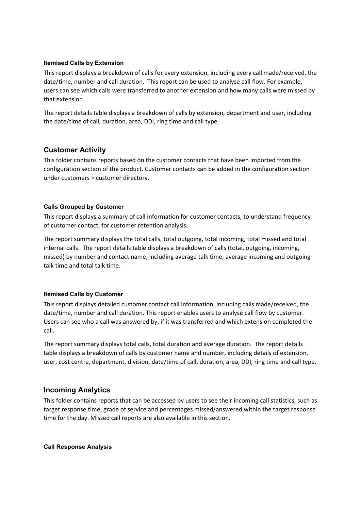#### **Itemised Calls by Extension**

This report displays a breakdown of calls for every extension, including every call made/received, the date/time, number and call duration. This report can be used to analyse call flow. For example, users can see which calls were transferred to another extension and how many calls were missed by that extension.

The report details table displays a breakdown of calls by extension, department and user, including the date/time of call, duration, area, DDI, ring time and call type.

#### **Customer Activity**

This folder contains reports based on the customer contacts that have been imported from the configuration section of the product. Customer contacts can be added in the configuration section under customers > customer directory.

#### **Calls Grouped by Customer**

This report displays a summary of call information for customer contacts, to understand frequency of customer contact, for customer retention analysis.

The report summary displays the total calls, total outgoing, total incoming, total missed and total internal calls. The report details table displays a breakdown of calls (total, outgoing, incoming, missed) by number and contact name, including average talk time, average incoming and outgoing talk time and total talk time.

#### **Itemised Calls by Customer**

This report displays detailed customer contact call information, including calls made/received, the date/time, number and call duration. This report enables users to analyse call flow by customer. Users can see who a call was answered by, if it was transferred and which extension completed the call.

The report summary displays total calls, total duration and average duration. The report details table displays a breakdown of calls by customer name and number, including details of extension, user, cost centre, department, division, date/time of call, duration, area, DDI, ring time and call type.

#### **Incoming Analytics**

This folder contains reports that can be accessed by users to see their incoming call statistics, such as target response time, grade of service and percentages missed/answered within the target response time for the day. Missed call reports are also available in this section.

#### **Call Response Analysis**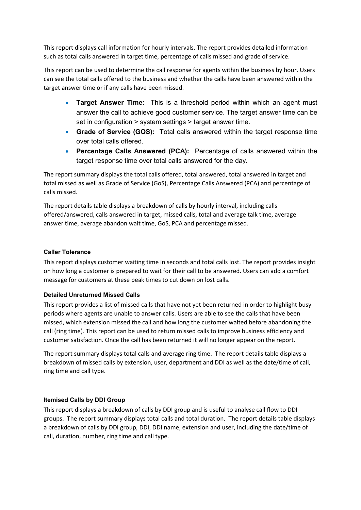This report displays call information for hourly intervals. The report provides detailed information such as total calls answered in target time, percentage of calls missed and grade of service.

This report can be used to determine the call response for agents within the business by hour. Users can see the total calls offered to the business and whether the calls have been answered within the target answer time or if any calls have been missed.

- **Target Answer Time:** This is a threshold period within which an agent must answer the call to achieve good customer service. The target answer time can be set in configuration > system settings > target answer time.
- **Grade of Service (GOS):** Total calls answered within the target response time over total calls offered.
- **Percentage Calls Answered (PCA):** Percentage of calls answered within the target response time over total calls answered for the day.

The report summary displays the total calls offered, total answered, total answered in target and total missed as well as Grade of Service (GoS), Percentage Calls Answered (PCA) and percentage of calls missed.

The report details table displays a breakdown of calls by hourly interval, including calls offered/answered, calls answered in target, missed calls, total and average talk time, average answer time, average abandon wait time, GoS, PCA and percentage missed.

#### **Caller Tolerance**

This report displays customer waiting time in seconds and total calls lost. The report provides insight on how long a customer is prepared to wait for their call to be answered. Users can add a comfort message for customers at these peak times to cut down on lost calls.

#### **Detailed Unreturned Missed Calls**

This report provides a list of missed calls that have not yet been returned in order to highlight busy periods where agents are unable to answer calls. Users are able to see the calls that have been missed, which extension missed the call and how long the customer waited before abandoning the call (ring time). This report can be used to return missed calls to improve business efficiency and customer satisfaction. Once the call has been returned it will no longer appear on the report.

The report summary displays total calls and average ring time. The report details table displays a breakdown of missed calls by extension, user, department and DDI as well as the date/time of call, ring time and call type.

#### **Itemised Calls by DDI Group**

This report displays a breakdown of calls by DDI group and is useful to analyse call flow to DDI groups. The report summary displays total calls and total duration. The report details table displays a breakdown of calls by DDI group, DDI, DDI name, extension and user, including the date/time of call, duration, number, ring time and call type.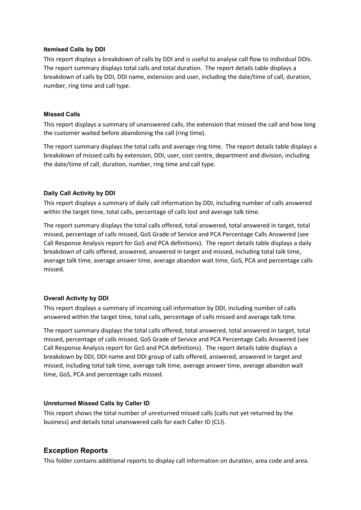#### **Itemised Calls by DDI**

This report displays a breakdown of calls by DDI and is useful to analyse call flow to individual DDIs. The report summary displays total calls and total duration. The report details table displays a breakdown of calls by DDI, DDI name, extension and user, including the date/time of call, duration, number, ring time and call type.

#### **Missed Calls**

This report displays a summary of unanswered calls, the extension that missed the call and how long the customer waited before abandoning the call (ring time).

The report summary displays the total calls and average ring time. The report details table displays a breakdown of missed calls by extension, DDI, user, cost centre, department and division, including the date/time of call, duration, number, ring time and call type.

#### **Daily Call Activity by DDI**

This report displays a summary of daily call information by DDI, including number of calls answered within the target time, total calls, percentage of calls lost and average talk time.

The report summary displays the total calls offered, total answered, total answered in target, total missed, percentage of calls missed, GoS Grade of Service and PCA Percentage Calls Answered (see Call Response Analysis report for GoS and PCA definitions). The report details table displays a daily breakdown of calls offered, answered, answered in target and missed, including total talk time, average talk time, average answer time, average abandon wait time, GoS, PCA and percentage calls missed.

#### **Overall Activity by DDI**

This report displays a summary of incoming call information by DDI, including number of calls answered within the target time, total calls, percentage of calls missed and average talk time.

The report summary displays the total calls offered, total answered, total answered in target, total missed, percentage of calls missed, GoS Grade of Service and PCA Percentage Calls Answered (see Call Response Analysis report for GoS and PCA definitions). The report details table displays a breakdown by DDI, DDI name and DDI group of calls offered, answered, answered in target and missed, including total talk time, average talk time, average answer time, average abandon wait time, GoS, PCA and percentage calls missed.

#### **Unreturned Missed Calls by Caller ID**

This report shows the total number of unreturned missed calls (calls not yet returned by the business) and details total unanswered calls for each Caller ID (CLI).

#### **Exception Reports**

This folder contains additional reports to display call information on duration, area code and area.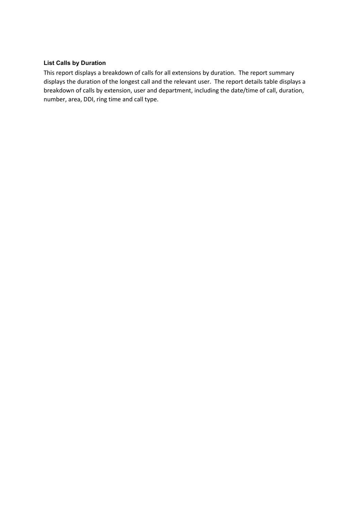#### **List Calls by Duration**

This report displays a breakdown of calls for all extensions by duration. The report summary displays the duration of the longest call and the relevant user. The report details table displays a breakdown of calls by extension, user and department, including the date/time of call, duration, number, area, DDI, ring time and call type.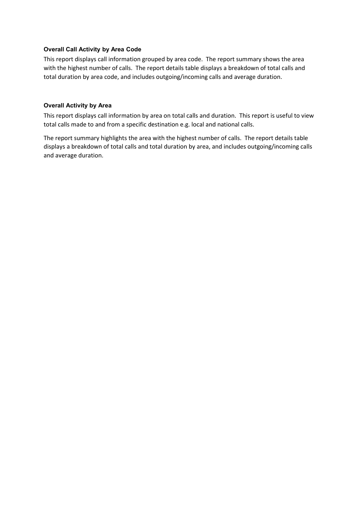#### **Overall Call Activity by Area Code**

This report displays call information grouped by area code. The report summary shows the area with the highest number of calls. The report details table displays a breakdown of total calls and total duration by area code, and includes outgoing/incoming calls and average duration.

#### **Overall Activity by Area**

This report displays call information by area on total calls and duration. This report is useful to view total calls made to and from a specific destination e.g. local and national calls.

The report summary highlights the area with the highest number of calls. The report details table displays a breakdown of total calls and total duration by area, and includes outgoing/incoming calls and average duration.